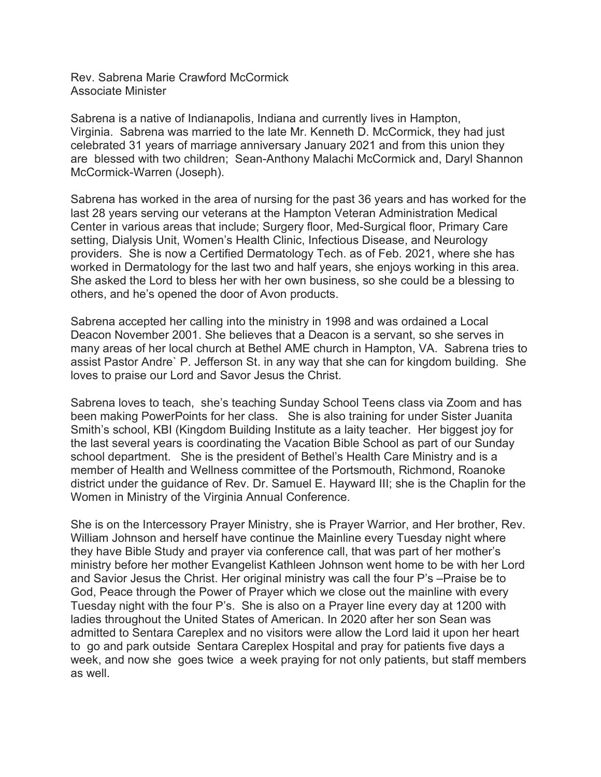Rev. Sabrena Marie Crawford McCormick Associate Minister

Sabrena is a native of Indianapolis, Indiana and currently lives in Hampton, Virginia. Sabrena was married to the late Mr. Kenneth D. McCormick, they had just celebrated 31 years of marriage anniversary January 2021 and from this union they are blessed with two children; Sean-Anthony Malachi McCormick and, Daryl Shannon McCormick-Warren (Joseph).

Sabrena has worked in the area of nursing for the past 36 years and has worked for the last 28 years serving our veterans at the Hampton Veteran Administration Medical Center in various areas that include; Surgery floor, Med-Surgical floor, Primary Care setting, Dialysis Unit, Women's Health Clinic, Infectious Disease, and Neurology providers. She is now a Certified Dermatology Tech. as of Feb. 2021, where she has worked in Dermatology for the last two and half years, she enjoys working in this area. She asked the Lord to bless her with her own business, so she could be a blessing to others, and he's opened the door of Avon products.

Sabrena accepted her calling into the ministry in 1998 and was ordained a Local Deacon November 2001. She believes that a Deacon is a servant, so she serves in many areas of her local church at Bethel AME church in Hampton, VA. Sabrena tries to assist Pastor Andre` P. Jefferson St. in any way that she can for kingdom building. She loves to praise our Lord and Savor Jesus the Christ.

Sabrena loves to teach, she's teaching Sunday School Teens class via Zoom and has been making PowerPoints for her class. She is also training for under Sister Juanita Smith's school, KBI (Kingdom Building Institute as a laity teacher. Her biggest joy for the last several years is coordinating the Vacation Bible School as part of our Sunday school department. She is the president of Bethel's Health Care Ministry and is a member of Health and Wellness committee of the Portsmouth, Richmond, Roanoke district under the guidance of Rev. Dr. Samuel E. Hayward III; she is the Chaplin for the Women in Ministry of the Virginia Annual Conference.

She is on the Intercessory Prayer Ministry, she is Prayer Warrior, and Her brother, Rev. William Johnson and herself have continue the Mainline every Tuesday night where they have Bible Study and prayer via conference call, that was part of her mother's ministry before her mother Evangelist Kathleen Johnson went home to be with her Lord and Savior Jesus the Christ. Her original ministry was call the four P's –Praise be to God, Peace through the Power of Prayer which we close out the mainline with every Tuesday night with the four P's. She is also on a Prayer line every day at 1200 with ladies throughout the United States of American. In 2020 after her son Sean was admitted to Sentara Careplex and no visitors were allow the Lord laid it upon her heart to go and park outside Sentara Careplex Hospital and pray for patients five days a week, and now she goes twice a week praying for not only patients, but staff members as well.